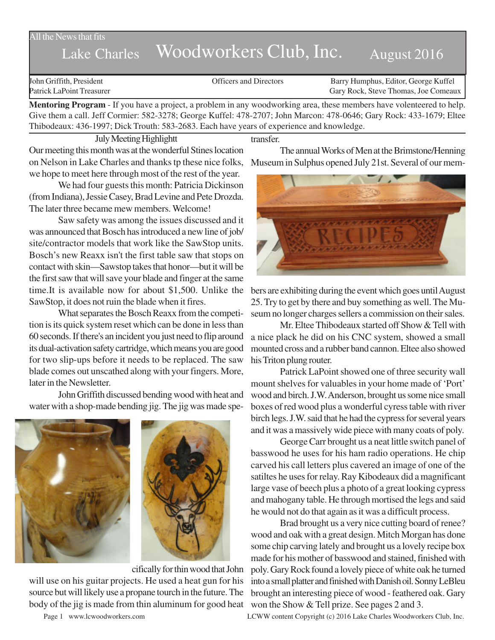### All the News that fits

# Lake Charles Woodworkers Club, Inc. August 2016

John Griffith, President Officers and Directors Barry Humphus, Editor, George Kuffel Patrick LaPoint Treasurer Gary Rock, Steve Thomas, Joe Comeaux

**Mentoring Program** - If you have a project, a problem in any woodworking area, these members have volenteered to help. Give them a call. Jeff Cormier: 582-3278; George Kuffel: 478-2707; John Marcon: 478-0646; Gary Rock: 433-1679; Eltee Thibodeaux: 436-1997; Dick Trouth: 583-2683. Each have years of experience and knowledge.

July Meeting Highlightt

Our meeting this month was at the wonderful Stines location on Nelson in Lake Charles and thanks tp these nice folks, we hope to meet here through most of the rest of the year.

We had four guests this month: Patricia Dickinson (from Indiana), Jessie Casey, Brad Levine and Pete Drozda. The later three became mew members. Welcome!

Saw safety was among the issues discussed and it was announced that Bosch has introduced a new line of job/ site/contractor models that work like the SawStop units. Bosch's new Reaxx isn't the first table saw that stops on contact with skin—Sawstop takes that honor—but it will be the first saw that will save your blade and finger at the same time.It is available now for about \$1,500. Unlike the SawStop, it does not ruin the blade when it fires.

What separates the Bosch Reaxx from the competition is its quick system reset which can be done in less than 60 seconds. If there's an incident you just need to flip around its dual-activation safety cartridge, which means you are good for two slip-ups before it needs to be replaced. The saw blade comes out unscathed along with your fingers. More, later in the Newsletter.

John Griffith discussed bending wood with heat and water with a shop-made bending jig. The jig was made spe-





cifically for thin wood that John

will use on his guitar projects. He used a heat gun for his source but will likely use a propane tourch in the future. The body of the jig is made from thin aluminum for good heat

transfer.

The annual Works of Men at the Brimstone/Henning Museum in Sulphus opened July 21st. Several of our mem-



bers are exhibiting during the event which goes until August 25. Try to get by there and buy something as well. The Museum no longer charges sellers a commission on their sales.

Mr. Eltee Thibodeaux started off Show & Tell with a nice plack he did on his CNC system, showed a small mounted cross and a rubber band cannon. Eltee also showed his Triton plung router.

Patrick LaPoint showed one of three security wall mount shelves for valuables in your home made of 'Port' wood and birch. J.W. Anderson, brought us some nice small boxes of red wood plus a wonderful cyress table with river birch legs. J.W. said that he had the cypress for several years and it was a massively wide piece with many coats of poly.

George Carr brought us a neat little switch panel of basswood he uses for his ham radio operations. He chip carved his call letters plus cavered an image of one of the satiltes he uses for relay. Ray Kibodeaux did a magnificant large vase of beech plus a photo of a great looking cypress and mahogany table. He through mortised the legs and said he would not do that again as it was a difficult process.

Brad brought us a very nice cutting board of renee? wood and oak with a great design. Mitch Morgan has done some chip carving lately and brought us a lovely recipe box made for his mother of basswood and stained, finished with poly. Gary Rock found a lovely piece of white oak he turned into a small platter and finished with Danish oil. Sonny LeBleu brought an interesting piece of wood - feathered oak. Gary won the Show & Tell prize. See pages 2 and 3.

Page 1 www.lcwoodworkers.com LCWW content Copyright (c) 2016 Lake Charles Woodworkers Club, Inc.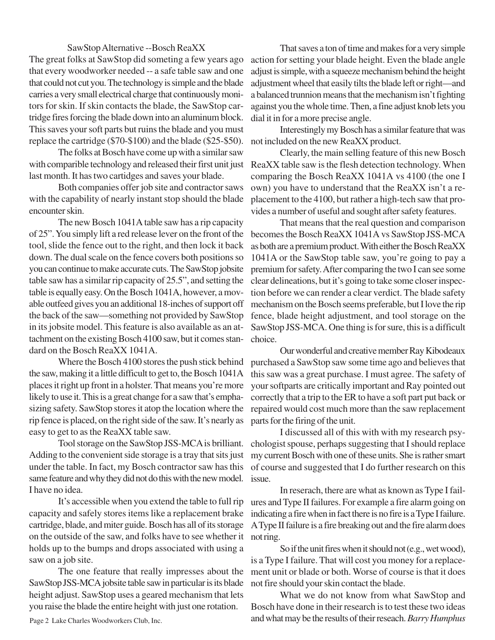#### SawStop Alternative --Bosch ReaXX

The great folks at SawStop did someting a few years ago that every woodworker needed -- a safe table saw and one that could not cut you. The technology is simple and the blade carries a very small electrical charge that continuously monitors for skin. If skin contacts the blade, the SawStop cartridge fires forcing the blade down into an aluminum block. This saves your soft parts but ruins the blade and you must replace the cartridge (\$70-\$100) and the blade (\$25-\$50).

The folks at Bosch have come up with a similar saw last month. It has two cartidges and saves your blade.

Both companies offer job site and contractor saws with the capability of nearly instant stop should the blade encounter skin.

The new Bosch 1041A table saw has a rip capacity of 25". You simply lift a red release lever on the front of the tool, slide the fence out to the right, and then lock it back down. The dual scale on the fence covers both positions so you can continue to make accurate cuts. The SawStop jobsite table saw has a similar rip capacity of 25.5", and setting the table is equally easy. On the Bosch 1041A, however, a movable outfeed gives you an additional 18-inches of support off the back of the saw—something not provided by SawStop in its jobsite model. This feature is also available as an attachment on the existing Bosch 4100 saw, but it comes standard on the Bosch ReaXX 1041A.

Where the Bosch 4100 stores the push stick behind the saw, making it a little difficult to get to, the Bosch 1041A places it right up front in a holster. That means you're more likely to use it. This is a great change for a saw that's emphasizing safety. SawStop stores it atop the location where the rip fence is placed, on the right side of the saw. It's nearly as easy to get to as the ReaXX table saw.

Tool storage on the SawStop JSS-MCA is brilliant. Adding to the convenient side storage is a tray that sits just under the table. In fact, my Bosch contractor saw has this same feature and why they did not do this with the new model. I have no idea.

It's accessible when you extend the table to full rip capacity and safely stores items like a replacement brake cartridge, blade, and miter guide. Bosch has all of its storage on the outside of the saw, and folks have to see whether it holds up to the bumps and drops associated with using a saw on a job site.

The one feature that really impresses about the SawStop JSS-MCA jobsite table saw in particular is its blade height adjust. SawStop uses a geared mechanism that lets you raise the blade the entire height with just one rotation.

That saves a ton of time and makes for a very simple action for setting your blade height. Even the blade angle adjust is simple, with a squeeze mechanism behind the height adjustment wheel that easily tilts the blade left or right—and a balanced trunnion means that the mechanism isn't fighting against you the whole time. Then, a fine adjust knob lets you dial it in for a more precise angle.

Interestingly my Bosch has a similar feature that was not included on the new ReaXX product.

with comparible technology and released their first unit just ReaXX table saw is the flesh detection technology. When Clearly, the main selling feature of this new Bosch comparing the Bosch ReaXX 1041A vs 4100 (the one I own) you have to understand that the ReaXX isn't a replacement to the 4100, but rather a high-tech saw that provides a number of useful and sought after safety features.

> That means that the real question and comparison becomes the Bosch ReaXX 1041A vs SawStop JSS-MCA as both are a premium product. With either the Bosch ReaXX 1041A or the SawStop table saw, you're going to pay a premium for safety. After comparing the two I can see some clear delineations, but it's going to take some closer inspection before we can render a clear verdict. The blade safety mechanism on the Bosch seems preferable, but I love the rip fence, blade height adjustment, and tool storage on the SawStop JSS-MCA. One thing is for sure, this is a difficult choice.

> Our wonderful and creative member Ray Kibodeaux purchased a SawStop saw some time ago and believes that this saw was a great purchase. I must agree. The safety of your softparts are critically important and Ray pointed out correctly that a trip to the ER to have a soft part put back or repaired would cost much more than the saw replacement parts for the firing of the unit.

> I discussed all of this with with my research psychologist spouse, perhaps suggesting that I should replace my current Bosch with one of these units. She is rather smart of course and suggested that I do further research on this issue.

> In reserach, there are what as known as Type I failures and Type II failures. For example a fire alarm going on indicating a fire when in fact there is no fire is a Type I failure. A Type II failure is a fire breaking out and the fire alarm does not ring.

> So if the unit fires when it should not (e.g., wet wood), is a Type I failure. That will cost you money for a replacement unit or blade or both. Worse of course is that it does not fire should your skin contact the blade.

> What we do not know from what SawStop and Bosch have done in their research is to test these two ideas and what may be the results of their reseach. *Barry Humphus*

Page 2 Lake Charles Woodworkers Club, Inc.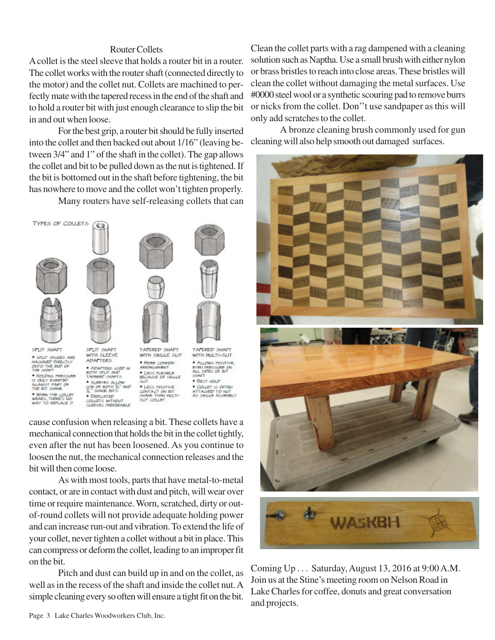## Router Collets

A collet is the steel sleeve that holds a router bit in a router. The collet works with the router shaft (connected directly to the motor) and the collet nut. Collets are machined to perfectly mate with the tapered recess in the end of the shaft and to hold a router bit with just enough clearance to slip the bit in and out when loose.

For the best grip, a router bit should be fully inserted into the collet and then backed out about 1/16" (leaving between 3/4" and 1" of the shaft in the collet). The gap allows the collet and bit to be pulled down as the nut is tightened. If the bit is bottomed out in the shaft before tightening, the bit has nowhere to move and the collet won't tighten properly.

Many routers have self-releasing collets that can



ASAMIST PAKT OF<br>THE BIT SHAME .<br>WHAN THE COLLET<br>INY TO REPLACE IT WE OF BOTH A Auto **.**<br>• Depicated<br>collets without<br>sleeves preferable



**COLLET IS OFTEN**<br>ATTACHED TO NUT<br>AS SAIGLE ASSEMBLY CONTACT ON BIT<br>SHAIR THAN MULTI-<br>SUT COLLINT

cause confusion when releasing a bit. These collets have a mechanical connection that holds the bit in the collet tightly, even after the nut has been loosened. As you continue to loosen the nut, the mechanical connection releases and the bit will then come loose.

As with most tools, parts that have metal-to-metal contact, or are in contact with dust and pitch, will wear over time or require maintenance. Worn, scratched, dirty or outof-round collets will not provide adequate holding power and can increase run-out and vibration. To extend the life of your collet, never tighten a collet without a bit in place. This can compress or deform the collet, leading to an improper fit on the bit.

Pitch and dust can build up in and on the collet, as well as in the recess of the shaft and inside the collet nut. A simple cleaning every so often will ensure a tight fit on the bit.

Clean the collet parts with a rag dampened with a cleaning solution such as Naptha. Use a small brush with either nylon or brass bristles to reach into close areas. These bristles will clean the collet without damaging the metal surfaces. Use #0000 steel wool or a synthetic scouring pad to remove burrs or nicks from the collet. Don''t use sandpaper as this will only add scratches to the collet.

A bronze cleaning brush commonly used for gun cleaning will also help smooth out damaged surfaces.



Coming Up . . . Saturday, August 13, 2016 at 9:00 A.M. Join us at the Stine's meeting room on Nelson Road in Lake Charles for coffee, donuts and great conversation and projects.